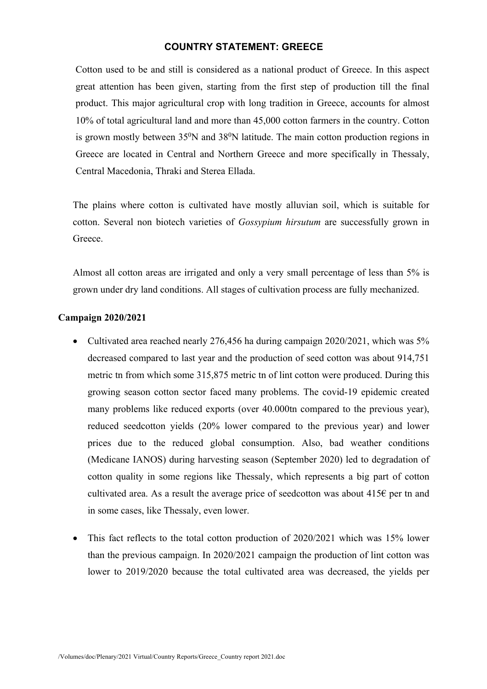## **COUNTRY STATEMENT: GREECE**

Cotton used to be and still is considered as a national product of Greece. In this aspect great attention has been given, starting from the first step of production till the final product. This major agricultural crop with long tradition in Greece, accounts for almost 10% of total agricultural land and more than 45,000 cotton farmers in the country. Cotton is grown mostly between  $35^{\circ}$ N and  $38^{\circ}$ N latitude. The main cotton production regions in Greece are located in Central and Northern Greece and more specifically in Thessaly, Central Macedonia, Thraki and Sterea Ellada.

The plains where cotton is cultivated have mostly alluvian soil, which is suitable for cotton. Several non biotech varieties of *Gossypium hirsutum* are successfully grown in **Greece** 

Almost all cotton areas are irrigated and only a very small percentage of less than 5% is grown under dry land conditions. All stages of cultivation process are fully mechanized.

## **Campaign 2020/2021**

- Cultivated area reached nearly 276,456 ha during campaign 2020/2021, which was 5% decreased compared to last year and the production of seed cotton was about 914,751 metric tn from which some 315,875 metric tn of lint cotton were produced. During this growing season cotton sector faced many problems. Τhe covid-19 epidemic created many problems like reduced exports (over 40.000tn compared to the previous year), reduced seedcotton yields (20% lower compared to the previous year) and lower prices due to the reduced global consumption. Also, bad weather conditions (Medicane IANOS) during harvesting season (September 2020) led to degradation of cotton quality in some regions like Thessaly, which represents a big part of cotton cultivated area. As a result the average price of seedcotton was about  $415\epsilon$  per tn and in some cases, like Thessaly, even lower.
- This fact reflects to the total cotton production of 2020/2021 which was 15% lower than the previous campaign. In 2020/2021 campaign the production of lint cotton was lower to 2019/2020 because the total cultivated area was decreased, the yields per